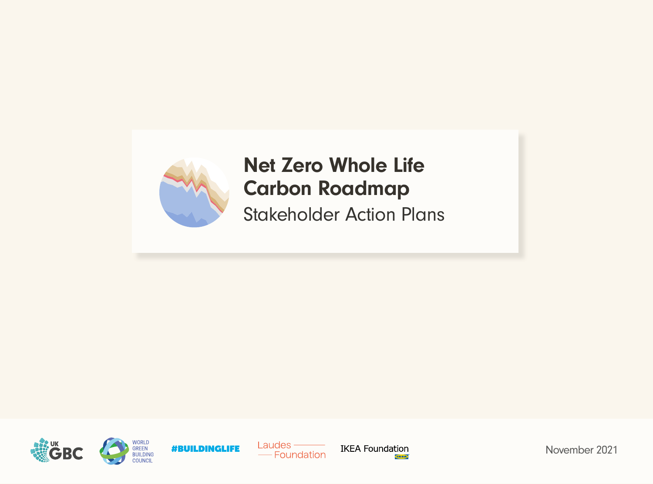

# Net Zero Whole Life Carbon Roadmap

Stakeholder Action Plans









November 2021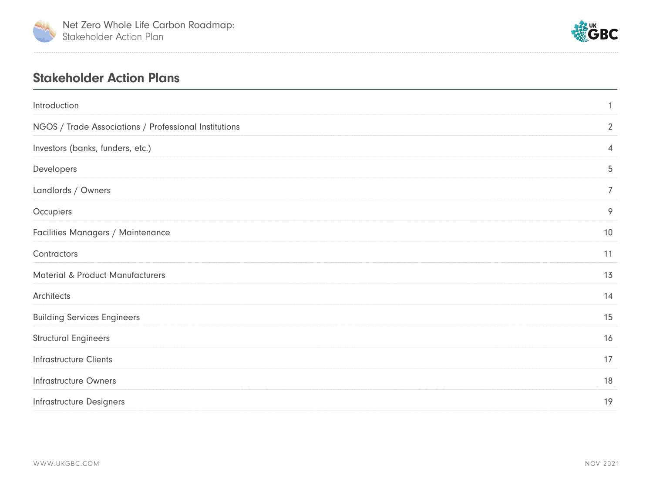



#### Stakeholder Action Plans

| Introduction                                          | $\mathbf{1}$   |
|-------------------------------------------------------|----------------|
| NGOS / Trade Associations / Professional Institutions | $\overline{2}$ |
| Investors (banks, funders, etc.)                      | $\overline{4}$ |
| Developers                                            | 5              |
| Landlords / Owners                                    | $\overline{7}$ |
| Occupiers                                             | 9              |
| Facilities Managers / Maintenance                     | 10             |
| Contractors                                           | 11             |
| <b>Material &amp; Product Manufacturers</b>           | 13             |
| Architects                                            | 14             |
| <b>Building Services Engineers</b>                    | 15             |
| <b>Structural Engineers</b>                           | 16             |
| <b>Infrastructure Clients</b>                         | 17             |
| <b>Infrastructure Owners</b>                          | 18             |
| <b>Infrastructure Designers</b>                       | 19             |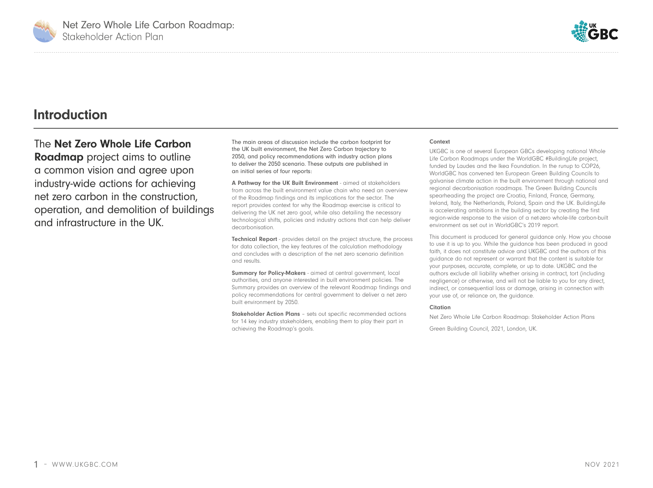<span id="page-2-0"></span>



#### **Introduction**

The Net Zero Whole Life Carbon **Roadmap** project aims to outline a common vision and agree upon industry-wide actions for achieving net zero carbon in the construction, operation, and demolition of buildings and infrastructure in the UK.

The main areas of discussion include the carbon footprint for the UK built environment, the Net Zero Carbon trajectory to 2050, and policy recommendations with industry action plans to deliver the 2050 scenario. These outputs are published in an initial series of four reports:

A Pathway for the UK Built Environment - aimed at stakeholders from across the built environment value chain who need an overview of the Roadmap findings and its implications for the sector. The report provides context for why the Roadmap exercise is critical to delivering the UK net zero goal, while also detailing the necessary technological shifts, policies and industry actions that can help deliver decarbonisation.

Technical Report - provides detail on the project structure, the process for data collection, the key features of the calculation methodology and concludes with a description of the net zero scenario definition and results.

Summary for Policy-Makers - aimed at central government, local authorities, and anyone interested in built environment policies. The Summary provides an overview of the relevant Roadmap findings and policy recommendations for central government to deliver a net zero built environment by 2050.

**Stakeholder Action Plans** - sets out specific recommended actions for 14 key industry stakeholders, enabling them to play their part in achieving the Roadmap's goals.

#### **Context**

UKGBC is one of several European GBCs developing national Whole Life Carbon Roadmaps under the WorldGBC #BuildingLife project, funded by Laudes and the Ikea Foundation. In the runup to COP26, WorldGBC has convened ten European Green Building Councils to galvanise climate action in the built environment through national and regional decarbonisation roadmaps. The Green Building Councils spearheading the project are Croatia, Finland, France, Germany, Ireland, Italy, the Netherlands, Poland, Spain and the UK. BuildingLife is accelerating ambitions in the building sector by creating the first region-wide response to the vision of a net-zero whole-life carbon-built environment as set out in WorldGBC's 2019 report.

This document is produced for general guidance only. How you choose to use it is up to you. While the guidance has been produced in good faith, it does not constitute advice and UKGBC and the authors of this guidance do not represent or warrant that the content is suitable for your purposes, accurate, complete, or up to date. UKGBC and the authors exclude all liability whether arising in contract, tort (including negligence) or otherwise, and will not be liable to you for any direct, indirect, or consequential loss or damage, arising in connection with your use of, or reliance on, the guidance.

#### Citation

Net Zero Whole Life Carbon Roadmap: Stakeholder Action Plans

Green Building Council, 2021, London, UK.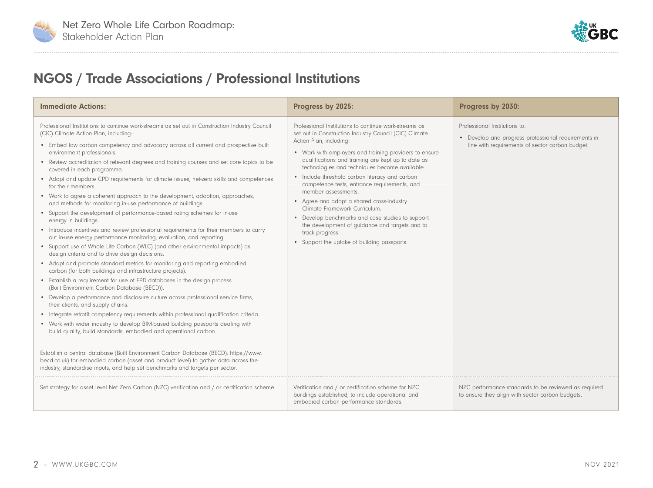<span id="page-3-0"></span>



## NGOS / Trade Associations / Professional Institutions

| <b>Immediate Actions:</b>                                                                                                                                                                                                                                                                                                                                                                                                                                                                                                                                                                                                                                                                                                                                                                                                                                                                                                                                                                                                                                                                                                                                                                                                                                                                                                                                                                                                                                                                                                                                                                                                                                                                                           | Progress by 2025:                                                                                                                                                                                                                                                                                                                                                                                                                                                                                                                                                                                                                                                                          | Progress by 2030:                                                                                                                       |
|---------------------------------------------------------------------------------------------------------------------------------------------------------------------------------------------------------------------------------------------------------------------------------------------------------------------------------------------------------------------------------------------------------------------------------------------------------------------------------------------------------------------------------------------------------------------------------------------------------------------------------------------------------------------------------------------------------------------------------------------------------------------------------------------------------------------------------------------------------------------------------------------------------------------------------------------------------------------------------------------------------------------------------------------------------------------------------------------------------------------------------------------------------------------------------------------------------------------------------------------------------------------------------------------------------------------------------------------------------------------------------------------------------------------------------------------------------------------------------------------------------------------------------------------------------------------------------------------------------------------------------------------------------------------------------------------------------------------|--------------------------------------------------------------------------------------------------------------------------------------------------------------------------------------------------------------------------------------------------------------------------------------------------------------------------------------------------------------------------------------------------------------------------------------------------------------------------------------------------------------------------------------------------------------------------------------------------------------------------------------------------------------------------------------------|-----------------------------------------------------------------------------------------------------------------------------------------|
| Professional Institutions to continue work-streams as set out in Construction Industry Council<br>(CIC) Climate Action Plan, including:<br>• Embed low carbon competency and advocacy across all current and prospective built<br>environment professionals.<br>• Review accreditation of relevant degrees and training courses and set core topics to be<br>covered in each programme.<br>• Adopt and update CPD requirements for climate issues, net-zero skills and competences<br>for their members.<br>• Work to agree a coherent approach to the development, adoption, approaches,<br>and methods for monitoring in-use performance of buildings.<br>• Support the development of performance-based rating schemes for in-use<br>energy in buildings.<br>• Introduce incentives and review professional requirements for their members to carry<br>out in-use energy performance monitoring, evaluation, and reporting.<br>• Support use of Whole Life Carbon (WLC) (and other environmental impacts) as<br>design criteria and to drive design decisions.<br>• Adopt and promote standard metrics for monitoring and reporting embodied<br>carbon (for both buildings and infrastructure projects).<br>• Establish a requirement for use of EPD databases in the design process<br>(Built Environment Carbon Database (BECD)).<br>• Develop a performance and disclosure culture across professional service firms,<br>their clients, and supply chains.<br>• Integrate retrofit competency requirements within professional qualification criteria.<br>• Work with wider industry to develop BIM-based building passports dealing with<br>build quality, build standards, embodied and operational carbon. | Professional Institutions to continue work-streams as<br>set out in Construction Industry Council (CIC) Climate<br>Action Plan, including:<br>• Work with employers and training providers to ensure<br>qualifications and training are kept up to date as<br>technologies and techniques become available.<br>• Include threshold carbon literacy and carbon<br>competence tests, entrance requirements, and<br>member assessments.<br>• Agree and adopt a shared cross-industry<br>Climate Framework Curriculum.<br>• Develop benchmarks and case studies to support<br>the development of quidance and targets and to<br>track progress.<br>• Support the uptake of building passports. | Professional Institutions to:<br>• Develop and progress professional requirements in<br>line with requirements of sector carbon budget. |
| Establish a central database (Built Environment Carbon Database (BECD): https://www.<br>becd.co.uk) for embodied carbon (asset and product level) to gather data across the<br>industry, standardise inputs, and help set benchmarks and targets per sector.                                                                                                                                                                                                                                                                                                                                                                                                                                                                                                                                                                                                                                                                                                                                                                                                                                                                                                                                                                                                                                                                                                                                                                                                                                                                                                                                                                                                                                                        |                                                                                                                                                                                                                                                                                                                                                                                                                                                                                                                                                                                                                                                                                            |                                                                                                                                         |
| Set strategy for asset level Net Zero Carbon (NZC) verification and / or certification scheme.                                                                                                                                                                                                                                                                                                                                                                                                                                                                                                                                                                                                                                                                                                                                                                                                                                                                                                                                                                                                                                                                                                                                                                                                                                                                                                                                                                                                                                                                                                                                                                                                                      | Verification and / or certification scheme for NZC<br>buildings established, to include operational and<br>embodied carbon performance standards.                                                                                                                                                                                                                                                                                                                                                                                                                                                                                                                                          | NZC performance standards to be reviewed as required<br>to ensure they align with sector carbon budgets.                                |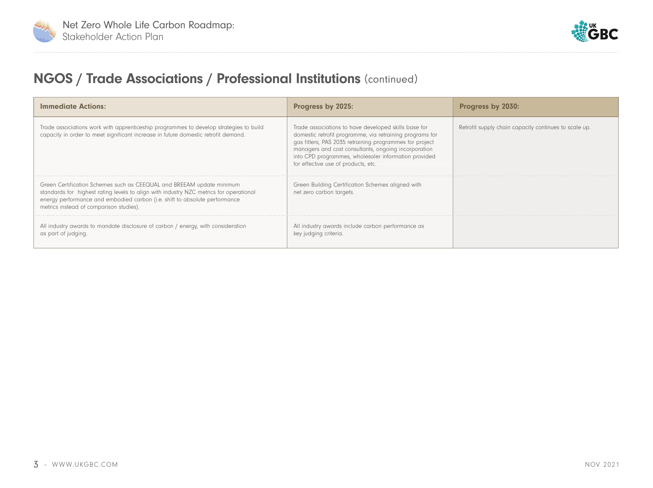



## NGOS / Trade Associations / Professional Institutions (continued)

| <b>Immediate Actions:</b>                                                                                                                                                                                                                                                                | Progress by 2025:                                                                                                                                                                                                                                                                                                                  | Progress by 2030:                                     |
|------------------------------------------------------------------------------------------------------------------------------------------------------------------------------------------------------------------------------------------------------------------------------------------|------------------------------------------------------------------------------------------------------------------------------------------------------------------------------------------------------------------------------------------------------------------------------------------------------------------------------------|-------------------------------------------------------|
| Trade associations work with apprenticeship programmes to develop strategies to build<br>capacity in order to meet significant increase in future domestic retrofit demand.                                                                                                              | Trade associations to have developed skills base for<br>domestic retrofit programme, via retraining programs for<br>gas fitters, PAS 2035 retraining programmes for project<br>managers and cost consultants, ongoing incorporation<br>into CPD programmes, wholesaler information provided<br>for effective use of products, etc. | Retrofit supply chain capacity continues to scale up. |
| Green Certification Schemes such as CEEQUAL and BREEAM update minimum<br>standards for highest rating levels to align with industry NZC metrics for operational<br>energy performance and embodied carbon (i.e. shift to absolute performance<br>metrics instead of comparison studies). | Green Building Certification Schemes aligned with<br>net zero carbon targets.                                                                                                                                                                                                                                                      |                                                       |
| All industry awards to mandate disclosure of carbon / energy, with consideration<br>as part of judging.                                                                                                                                                                                  | All industry awards include carbon performance as<br>key judging criteria.                                                                                                                                                                                                                                                         |                                                       |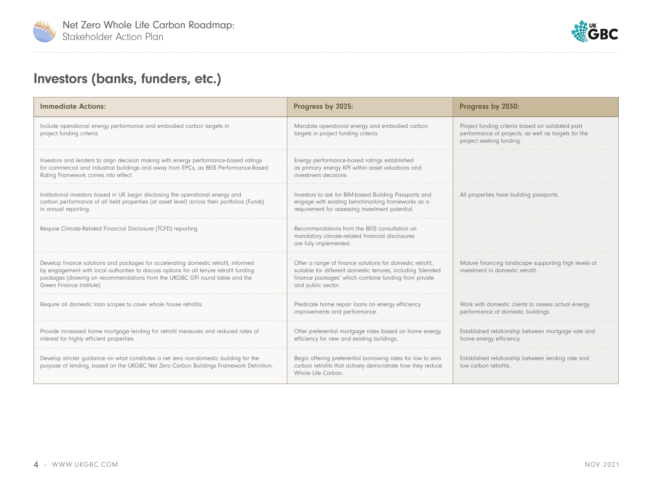<span id="page-5-0"></span>



## Investors (banks, funders, etc.)

| <b>Immediate Actions:</b>                                                                                                                                                                                                                                                                  | Progress by 2025:                                                                                                                                                                                      | Progress by 2030:                                                                                                                   |
|--------------------------------------------------------------------------------------------------------------------------------------------------------------------------------------------------------------------------------------------------------------------------------------------|--------------------------------------------------------------------------------------------------------------------------------------------------------------------------------------------------------|-------------------------------------------------------------------------------------------------------------------------------------|
| Include operational energy performance and embodied carbon targets in<br>project funding criteria.                                                                                                                                                                                         | Mandate operational energy and embodied carbon<br>targets in project funding criteria.                                                                                                                 | Project funding criteria based on validated past<br>performance of projects, as well as targets for the<br>project seeking funding. |
| Investors and lenders to align decision making with energy performance-based ratings<br>for commercial and industrial buildings and away from EPCs, as BEIS Performance-Based<br>Rating Framework comes into effect.                                                                       | Energy performance-based ratings established<br>as primary energy KPI within asset valuations and<br>investment decisions.                                                                             |                                                                                                                                     |
| Institutional investors based in UK begin disclosing the operational energy and<br>carbon performance of all held properties (at asset level) across their portfolios (Funds)<br>in annual reporting.                                                                                      | Investors to ask for BIM-based Building Passports and<br>engage with existing benchmarking frameworks as a<br>requirement for assessing investment potential.                                          | All properties have building passports.                                                                                             |
| Require Climate-Related Financial Disclosure (TCFD) reporting.                                                                                                                                                                                                                             | Recommendations from the BEIS consultation on<br>mandatory climate-related financial disclosures<br>are fully implemented.                                                                             |                                                                                                                                     |
| Develop finance solutions and packages for accelerating domestic retrofit, informed<br>by engagement with local authorities to discuss options for all tenure retrofit funding<br>packages (drawing on recommendations from the UKGBC GFI round table and the<br>Green Finance Institute). | Offer a range of finance solutions for domestic retrofit,<br>suitable for different domestic tenures, including 'blended<br>finance packages' which combine funding from private<br>and public sector. | Mature financing landscape supporting high levels of<br>investment in domestic retrofit.                                            |
| Require all domestic loan scopes to cover whole house retrofits.                                                                                                                                                                                                                           | Predicate home repair loans on energy efficiency<br>improvements and performance.                                                                                                                      | Work with domestic clients to assess actual energy<br>performance of domestic buildings.                                            |
| Provide increased home mortgage lending for retrofit measures and reduced rates of<br>interest for highly efficient properties.                                                                                                                                                            | Offer preferential mortgage rates based on home energy<br>efficiency for new and existing buildings.                                                                                                   | Established relationship between mortgage rate and<br>home energy efficiency.                                                       |
| Develop stricter quidance on what constitutes a net zero non-domestic building for the<br>purpose of lending, based on the UKGBC Net Zero Carbon Buildings Framework Definition.                                                                                                           | Begin offering preferential borrowing rates for low to zero<br>carbon retrofits that actively demonstrate how they reduce<br>Whole Life Carbon.                                                        | Established relationship between lending rate and<br>low carbon retrofits.                                                          |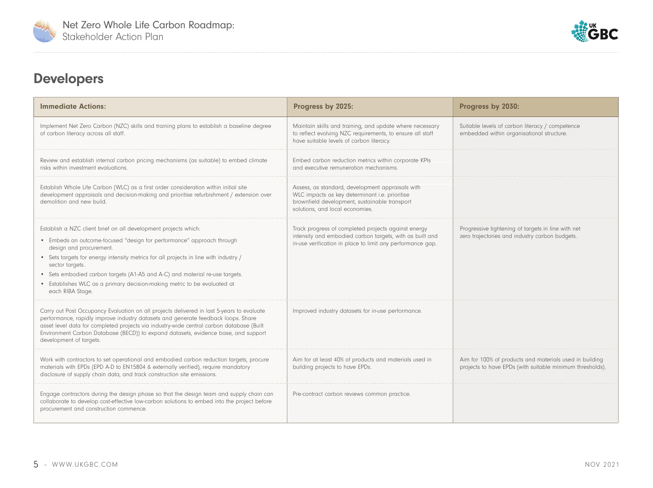<span id="page-6-0"></span>



## Developers

| <b>Immediate Actions:</b>                                                                                                                                                                                                                                                                                                                                                                                                                                     | Progress by 2025:                                                                                                                                                                      | Progress by 2030:                                                                                                    |
|---------------------------------------------------------------------------------------------------------------------------------------------------------------------------------------------------------------------------------------------------------------------------------------------------------------------------------------------------------------------------------------------------------------------------------------------------------------|----------------------------------------------------------------------------------------------------------------------------------------------------------------------------------------|----------------------------------------------------------------------------------------------------------------------|
| Implement Net Zero Carbon (NZC) skills and training plans to establish a baseline degree<br>of carbon literacy across all staff.                                                                                                                                                                                                                                                                                                                              | Maintain skills and training, and update where necessary<br>to reflect evolving NZC requirements, to ensure all staff<br>have suitable levels of carbon literacy.                      | Suitable levels of carbon literacy / competence<br>embedded within organisational structure.                         |
| Review and establish internal carbon pricing mechanisms (as suitable) to embed climate<br>risks within investment evaluations.                                                                                                                                                                                                                                                                                                                                | Embed carbon reduction metrics within corporate KPIs<br>and executive remuneration mechanisms                                                                                          |                                                                                                                      |
| Establish Whole Life Carbon (WLC) as a first order consideration within initial site<br>development appraisals and decision-making and prioritise refurbishment / extension over<br>demolition and new build.                                                                                                                                                                                                                                                 | Assess, as standard, development appraisals with<br>WLC impacts as key determinant i.e. prioritise<br>brownfield development, sustainable transport<br>solutions, and local economies. |                                                                                                                      |
| Establish a NZC client brief on all development projects which:<br>• Embeds an outcome-focused "design for performance" approach through<br>design and procurement.<br>• Sets targets for energy intensity metrics for all projects in line with industry /<br>sector targets.<br>• Sets embodied carbon targets (A1-A5 and A-C) and material re-use targets.<br>• Establishes WLC as a primary decision-making metric to be evaluated at<br>each RIBA Stage. | Track progress of completed projects against energy<br>intensity and embodied carbon targets, with as built and<br>in-use verification in place to limit any performance gap.          | Progressive tightening of targets in line with net<br>zero trajectories and industry carbon budgets.                 |
| Carry out Post Occupancy Evaluation on all projects delivered in last 5-years to evaluate<br>performance, rapidly improve industry datasets and generate feedback loops. Share<br>asset level data for completed projects via industry-wide central carbon database (Built<br>Environment Carbon Database (BECD)) to expand datasets, evidence base, and support<br>development of targets.                                                                   | Improved industry datasets for in-use performance.                                                                                                                                     |                                                                                                                      |
| Work with contractors to set operational and embodied carbon reduction targets, procure<br>materials with EPDs (EPD A-D to EN15804 & externally verified), require mandatory<br>disclosure of supply chain data, and track construction site emissions.                                                                                                                                                                                                       | Aim for at least 40% of products and materials used in<br>building projects to have EPDs.                                                                                              | Aim for 100% of products and materials used in building<br>projects to have EPDs (with suitable minimum thresholds). |
| Engage contractors during the design phase so that the design team and supply chain can<br>collaborate to develop cost-effective low-carbon solutions to embed into the project before<br>procurement and construction commence.                                                                                                                                                                                                                              | Pre-contract carbon reviews common practice.                                                                                                                                           |                                                                                                                      |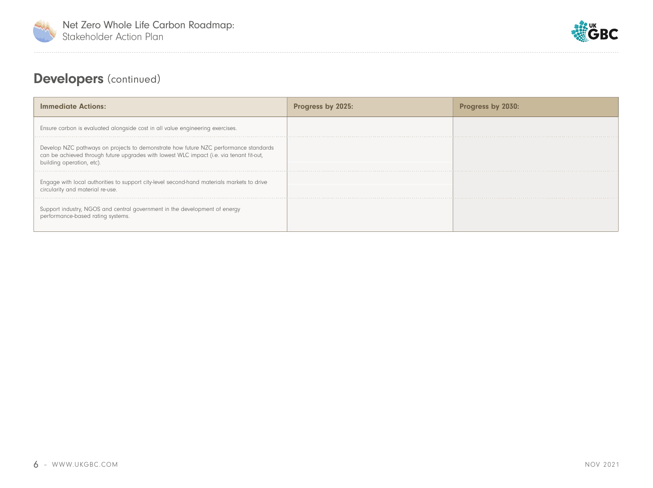



## Developers (continued)

| <b>Immediate Actions:</b>                                                                                                                                                                                     | <b>Progress by 2025:</b>      | <b>Progres</b>               |
|---------------------------------------------------------------------------------------------------------------------------------------------------------------------------------------------------------------|-------------------------------|------------------------------|
| Ensure carbon is evaluated alongside cost in all value engineering exercises.                                                                                                                                 |                               |                              |
| Develop NZC pathways on projects to demonstrate how future NZC performance standards<br>can be achieved through future upgrades with lowest WLC impact (i.e. via tenant fit-out,<br>building operation, etc). |                               | ---------------------------- |
| Engage with local authorities to support city-level second-hand materials markets to drive<br>circularity and material re-use.                                                                                |                               |                              |
| Support industry, NGOS and central government in the development of energy<br>performance-based rating systems.                                                                                               | ----------------------------- |                              |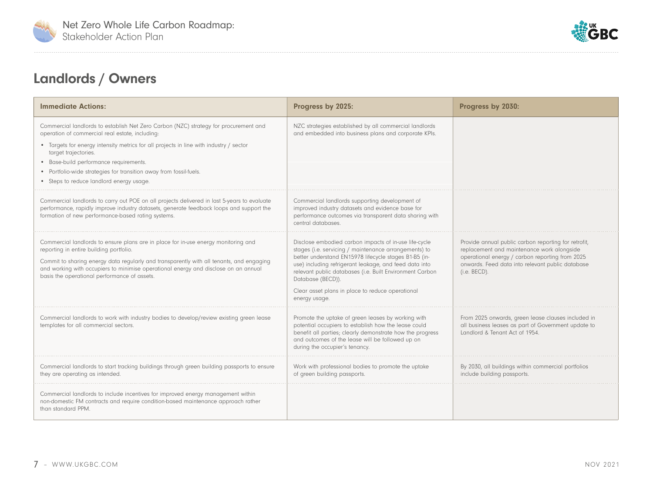<span id="page-8-0"></span>



## Landlords / Owners

| <b>Immediate Actions:</b>                                                                                                                                                                                                                                                                                                                                                                                             | Progress by 2025:                                                                                                                                                                                                                                                                                                                                                                       | Progress by 2030:                                                                                                                                                                                                         |
|-----------------------------------------------------------------------------------------------------------------------------------------------------------------------------------------------------------------------------------------------------------------------------------------------------------------------------------------------------------------------------------------------------------------------|-----------------------------------------------------------------------------------------------------------------------------------------------------------------------------------------------------------------------------------------------------------------------------------------------------------------------------------------------------------------------------------------|---------------------------------------------------------------------------------------------------------------------------------------------------------------------------------------------------------------------------|
| Commercial landlords to establish Net Zero Carbon (NZC) strategy for procurement and<br>operation of commercial real estate, including:<br>• Targets for energy intensity metrics for all projects in line with industry / sector<br>target trajectories.<br>• Base-build performance requirements.<br>• Portfolio-wide strategies for transition away from fossil-fuels.<br>• Steps to reduce landlord energy usage. | NZC strategies established by all commercial landlords<br>and embedded into business plans and corporate KPIs.                                                                                                                                                                                                                                                                          |                                                                                                                                                                                                                           |
| Commercial landlords to carry out POE on all projects delivered in last 5-years to evaluate<br>performance, rapidly improve industry datasets, generate feedback loops and support the<br>formation of new performance-based rating systems.                                                                                                                                                                          | Commercial landlords supporting development of<br>improved industry datasets and evidence base for<br>performance outcomes via transparent data sharing with<br>central databases.                                                                                                                                                                                                      |                                                                                                                                                                                                                           |
| Commercial landlords to ensure plans are in place for in-use energy monitoring and<br>reporting in entire building portfolio.<br>Commit to sharing energy data regularly and transparently with all tenants, and engaging<br>and working with occupiers to minimise operational energy and disclose on an annual<br>basis the operational performance of assets.                                                      | Disclose embodied carbon impacts of in-use life-cycle<br>stages (i.e. servicing / maintenance arrangements) to<br>better understand EN15978 lifecycle stages B1-B5 (in-<br>use) including refrigerant leakage, and feed data into<br>relevant public databases (i.e. Built Environment Carbon<br>Database (BECD)).<br>Clear asset plans in place to reduce operational<br>energy usage. | Provide annual public carbon reporting for retrofit,<br>replacement and maintenance work alongside<br>operational energy / carbon reporting from 2025<br>onwards. Feed data into relevant public database<br>(i.e. BECD). |
| Commercial landlords to work with industry bodies to develop/review existing green lease<br>templates for all commercial sectors.                                                                                                                                                                                                                                                                                     | Promote the uptake of green leases by working with<br>potential occupiers to establish how the lease could<br>benefit all parties; clearly demonstrate how the progress<br>and outcomes of the lease will be followed up on<br>during the occupier's tenancy.                                                                                                                           | From 2025 onwards, green lease clauses included in<br>all business leases as part of Government update to<br>Landlord & Tenant Act of 1954.                                                                               |
| Commercial landlords to start tracking buildings through green building passports to ensure<br>they are operating as intended.                                                                                                                                                                                                                                                                                        | Work with professional bodies to promote the uptake<br>of green building passports.                                                                                                                                                                                                                                                                                                     | By 2030, all buildings within commercial portfolios<br>include building passports.                                                                                                                                        |
| Commercial landlords to include incentives for improved energy management within<br>non-domestic FM contracts and require condition-based maintenance approach rather<br>than standard PPM.                                                                                                                                                                                                                           |                                                                                                                                                                                                                                                                                                                                                                                         |                                                                                                                                                                                                                           |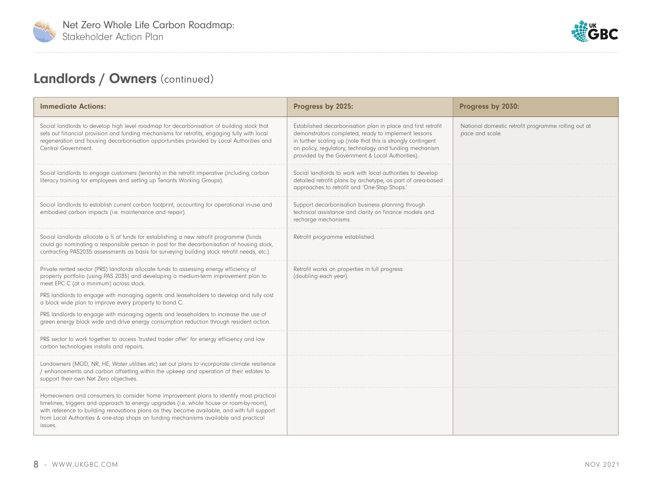



## Landlords / Owners (continued)

| <b>Immediate Actions:</b>                                                                                                                                                                                                                                                                                                                                                             | Progress by 2025:                                                                                                                                                                                                                                                                                  | Progress by 2030:                                                      |
|---------------------------------------------------------------------------------------------------------------------------------------------------------------------------------------------------------------------------------------------------------------------------------------------------------------------------------------------------------------------------------------|----------------------------------------------------------------------------------------------------------------------------------------------------------------------------------------------------------------------------------------------------------------------------------------------------|------------------------------------------------------------------------|
| Social landlords to develop high level roadmap for decarbonisation of building stock that<br>sets out financial provision and funding mechanisms for retrofits, engaging fully with local<br>regeneration and housing decarbonisation opportunities provided by Local Authorities and<br>Central Government.                                                                          | Established decarbonisation plan in place and first retrofit<br>demonstrators completed, ready to implement lessons<br>in further scaling up (note that this is strongly contingent<br>on policy, regulatory, technology and funding mechanism<br>provided by the Government & Local Authorities). | National domestic retrofit programme rolling out at<br>pace and scale. |
| Social landlords to engage customers (tenants) in the retrofit imperative (including carbon<br>literacy training for employees and setting up Tenants Working Groups).                                                                                                                                                                                                                | Social landlords to work with local authorities to develop<br>detailed retrofit plans by archetype, as part of area-based<br>approaches to retrofit and 'One-Stop Shops.'                                                                                                                          |                                                                        |
| Social landlords to establish current carbon footprint, accounting for operational in-use and<br>embodied carbon impacts (i.e. maintenance and repair).                                                                                                                                                                                                                               | Support decarbonisation business planning through<br>technical assistance and clarity on finance models and<br>recharge mechanisms.                                                                                                                                                                |                                                                        |
| Social landlords allocate a % of funds for establishing a new retrofit programme (funds<br>could go nominating a responsible person in post for the decarbonisation of housing stock,<br>contracting PAS2035 assessments as basis for surveying building stock retrofit needs, etc.).                                                                                                 | Retrofit programme established.                                                                                                                                                                                                                                                                    |                                                                        |
| Private rented sector (PRS) landlords allocate funds to assessing energy efficiency of<br>property portfolio (using PAS 2035) and developing a medium-term improvement plan to<br>meet EPC C (at a minimum) across stock.<br>PRS landlords to engage with managing agents and leaseholders to develop and fully cost                                                                  | Retrofit works on properties in full progress<br>(doubling each year).                                                                                                                                                                                                                             |                                                                        |
| a block wide plan to improve every property to band C.                                                                                                                                                                                                                                                                                                                                |                                                                                                                                                                                                                                                                                                    |                                                                        |
| PRS landlords to engage with managing agents and leaseholders to increase the use of<br>green energy block wide and drive energy consumption reduction through resident action.                                                                                                                                                                                                       |                                                                                                                                                                                                                                                                                                    |                                                                        |
| PRS sector to work together to access 'trusted trader offer' for energy efficiency and low<br>carbon technologies installs and repairs.                                                                                                                                                                                                                                               |                                                                                                                                                                                                                                                                                                    |                                                                        |
| Landowners (MOD, NR, HE, Water utilities etc) set out plans to incorporate climate resilience<br>/ enhancements and carbon offsetting within the upkeep and operation of their estates to<br>support their own Net Zero objectives.                                                                                                                                                   |                                                                                                                                                                                                                                                                                                    |                                                                        |
| Homeowners and consumers to consider home improvement plans to identify most practical<br>timelines, triggers and approach to energy upgrades (i.e. whole house or room-by-room),<br>with reference to building renovations plans as they become available, and with full support<br>from Local Authorities & one-stop shops on funding mechanisms available and practical<br>issues. |                                                                                                                                                                                                                                                                                                    |                                                                        |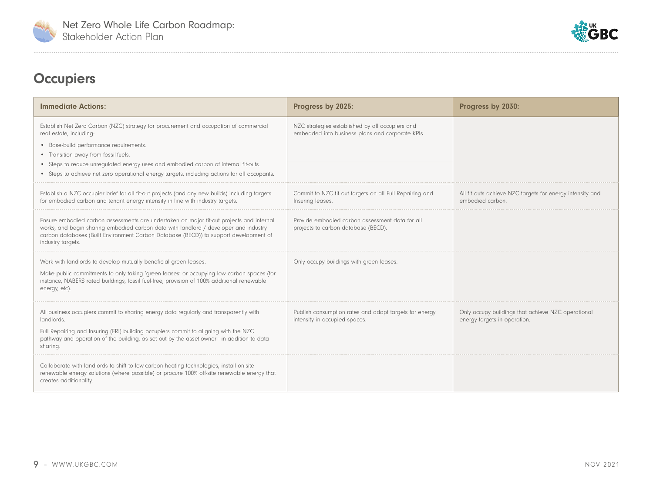<span id="page-10-0"></span>



. . . . . . . . . . . . . . . . .

## **Occupiers**

| <b>Immediate Actions:</b>                                                                                                                                                                                                                                                                                                                                                                 | Progress by 2025:                                                                                   | Progress by 2030:                                                                  |
|-------------------------------------------------------------------------------------------------------------------------------------------------------------------------------------------------------------------------------------------------------------------------------------------------------------------------------------------------------------------------------------------|-----------------------------------------------------------------------------------------------------|------------------------------------------------------------------------------------|
| Establish Net Zero Carbon (NZC) strategy for procurement and occupation of commercial<br>real estate, including:<br>• Base-build performance requirements.<br>• Transition away from fossil-fuels.<br>• Steps to reduce unrequlated energy uses and embodied carbon of internal fit-outs.<br>• Steps to achieve net zero operational energy targets, including actions for all occupants. | NZC strategies established by all occupiers and<br>embedded into business plans and corporate KPIs. |                                                                                    |
| Establish a NZC occupier brief for all fit-out projects (and any new builds) including targets<br>for embodied carbon and tenant energy intensity in line with industry targets.                                                                                                                                                                                                          | Commit to NZC fit out targets on all Full Repairing and<br>Insuring leases.                         | All fit outs achieve NZC targets for energy intensity and<br>embodied carbon.      |
| Ensure embodied carbon assessments are undertaken on major fit-out projects and internal<br>works, and begin sharing embodied carbon data with landlord / developer and industry<br>carbon databases (Built Environment Carbon Database (BECD)) to support development of<br>industry targets.                                                                                            | Provide embodied carbon assessment data for all<br>projects to carbon database (BECD).              |                                                                                    |
| Work with landlords to develop mutually beneficial green leases.<br>Make public commitments to only taking 'green leases' or occupying low carbon spaces (for<br>instance, NABERS rated buildings, fossil fuel-free, provision of 100% additional renewable<br>energy, etc).                                                                                                              | Only occupy buildings with green leases.                                                            |                                                                                    |
| All business occupiers commit to sharing energy data regularly and transparently with<br>landlords.<br>Full Repairing and Insuring (FRI) building occupiers commit to aligning with the NZC<br>pathway and operation of the building, as set out by the asset-owner - in addition to data<br>sharing.                                                                                     | Publish consumption rates and adopt targets for energy<br>intensity in occupied spaces.             | Only occupy buildings that achieve NZC operational<br>energy targets in operation. |
| Collaborate with landlords to shift to low-carbon heating technologies, install on-site<br>renewable energy solutions (where possible) or procure 100% off-site renewable energy that<br>creates additionality.                                                                                                                                                                           |                                                                                                     |                                                                                    |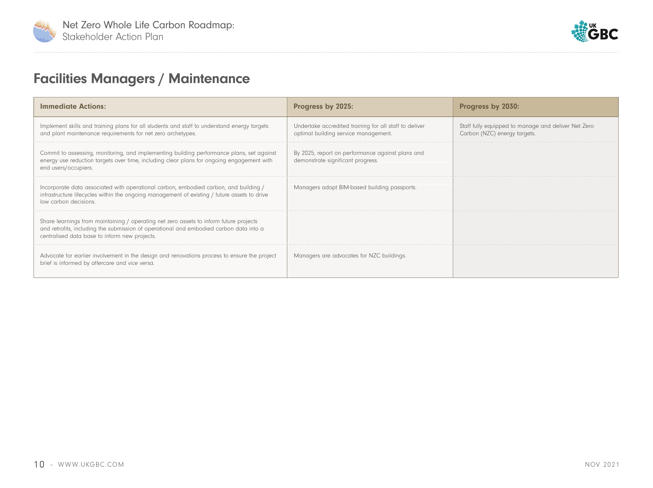<span id="page-11-0"></span>



## Facilities Managers / Maintenance

| <b>Immediate Actions:</b>                                                                                                                                                                                                         | Progress by 2025:                                                                              | Progress by 2030:                                                                   |
|-----------------------------------------------------------------------------------------------------------------------------------------------------------------------------------------------------------------------------------|------------------------------------------------------------------------------------------------|-------------------------------------------------------------------------------------|
| Implement skills and training plans for all students and staff to understand energy targets<br>and plant maintenance requirements for net zero archetypes.                                                                        | Undertake accredited training for all staff to deliver<br>optimal building service management. | Staff fully equipped to manage and deliver Net Zero<br>Carbon (NZC) energy targets. |
| Commit to assessing, monitoring, and implementing building performance plans, set against<br>energy use reduction targets over time, including clear plans for ongoing engagement with<br>end users/occupiers.                    | By 2025, report on performance against plans and<br>demonstrate significant progress.          |                                                                                     |
| Incorporate data associated with operational carbon, embodied carbon, and building /<br>infrastructure lifecycles within the ongoing management of existing / future assets to drive<br>low carbon decisions                      | Managers adopt BIM-based building passports.                                                   |                                                                                     |
| Share learnings from maintaining / operating net zero assets to inform future projects<br>and retrofits, including the submission of operational and embodied carbon data into a<br>centralised data base to inform new projects. |                                                                                                |                                                                                     |
| Advocate for earlier involvement in the design and renovations process to ensure the project<br>brief is informed by aftercare and vice versa.                                                                                    | Managers are advocates for NZC buildings.                                                      |                                                                                     |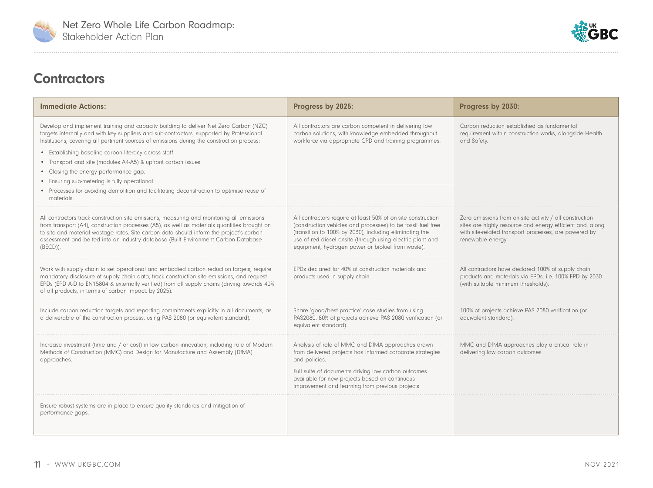<span id="page-12-0"></span>



#### **Contractors**

| <b>Immediate Actions:</b>                                                                                                                                                                                                                                                                                                                                                                                                                                                                                                                                                                                     | Progress by 2025:                                                                                                                                                                                                                                                                                          | Progress by 2030:                                                                                                                                                                                  |
|---------------------------------------------------------------------------------------------------------------------------------------------------------------------------------------------------------------------------------------------------------------------------------------------------------------------------------------------------------------------------------------------------------------------------------------------------------------------------------------------------------------------------------------------------------------------------------------------------------------|------------------------------------------------------------------------------------------------------------------------------------------------------------------------------------------------------------------------------------------------------------------------------------------------------------|----------------------------------------------------------------------------------------------------------------------------------------------------------------------------------------------------|
| Develop and implement training and capacity building to deliver Net Zero Carbon (NZC)<br>targets internally and with key suppliers and sub-contractors, supported by Professional<br>Institutions, covering all pertinent sources of emissions during the construction process:<br>• Establishing baseline carbon literacy across staff.<br>• Transport and site (modules A4-A5) & upfront carbon issues.<br>• Closing the energy performance-gap.<br>• Ensuring sub-metering is fully operational.<br>• Processes for avoiding demolition and facilitating deconstruction to optimise reuse of<br>materials. | All contractors are carbon competent in delivering low<br>carbon solutions, with knowledge embedded throughout<br>workforce via appropriate CPD and training programmes.                                                                                                                                   | Carbon reduction established as fundamental<br>requirement within construction works, alongside Health<br>and Safety.                                                                              |
| All contractors track construction site emissions, measuring and monitoring all emissions<br>from transport (A4), construction processes (A5), as well as materials quantities brought on<br>to site and material wastage rates. Site carbon data should inform the project's carbon<br>assessment and be fed into an industry database (Built Environment Carbon Database<br>$(BECD)$ ).                                                                                                                                                                                                                     | All contractors require at least 50% of on-site construction<br>(construction vehicles and processes) to be fossil fuel free<br>(transition to 100% by 2030), including eliminating the<br>use of red diesel onsite (through using electric plant and<br>equipment, hydrogen power or biofuel from waste). | Zero emissions from on-site activity / all construction<br>sites are highly resource and energy efficient and, along<br>with site-related transport processes, are powered by<br>renewable energy. |
| Work with supply chain to set operational and embodied carbon reduction targets, require<br>mandatory disclosure of supply chain data, track construction site emissions, and request<br>EPDs (EPD A-D to EN15804 & externally verified) from all supply chains (driving towards 40%<br>of all products, in terms of carbon impact, by 2025).                                                                                                                                                                                                                                                                 | EPDs declared for 40% of construction materials and<br>products used in supply chain.                                                                                                                                                                                                                      | All contractors have declared 100% of supply chain<br>products and materials via EPDs. i.e. 100% EPD by 2030<br>(with suitable minimum thresholds).                                                |
| Include carbon reduction targets and reporting commitments explicitly in all documents, as<br>a deliverable of the construction process, using PAS 2080 (or equivalent standard).                                                                                                                                                                                                                                                                                                                                                                                                                             | Share 'good/best practice' case studies from using<br>PAS2080. 80% of projects achieve PAS 2080 verification (or<br>equivalent standard).                                                                                                                                                                  | 100% of projects achieve PAS 2080 verification (or<br>equivalent standard).                                                                                                                        |
| Increase investment (time and / or cost) in low carbon innovation, including role of Modern<br>Methods of Construction (MMC) and Design for Manufacture and Assembly (DfMA)<br>approaches.                                                                                                                                                                                                                                                                                                                                                                                                                    | Analysis of role of MMC and DfMA approaches drawn<br>from delivered projects has informed corporate strategies<br>and policies.<br>Full suite of documents driving low carbon outcomes<br>available for new projects based on continuous<br>improvement and learning from previous projects.               | MMC and DfMA approaches play a critical role in<br>delivering low carbon outcomes.                                                                                                                 |
| Ensure robust systems are in place to ensure quality standards and mitigation of<br>performance gaps.                                                                                                                                                                                                                                                                                                                                                                                                                                                                                                         |                                                                                                                                                                                                                                                                                                            |                                                                                                                                                                                                    |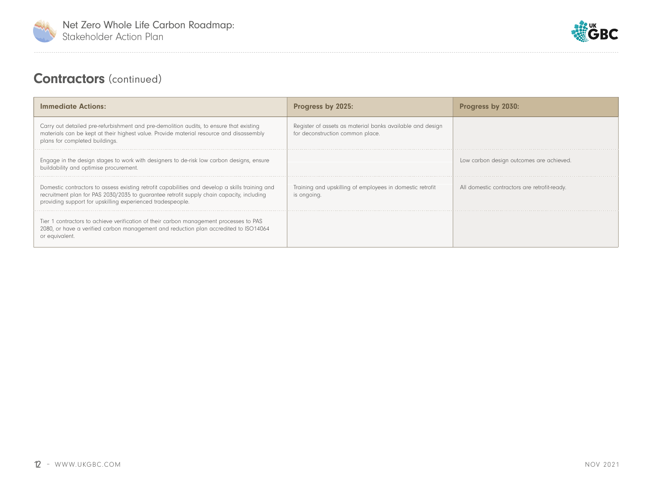



#### **Contractors** (continued)

| <b>Immediate Actions:</b>                                                                                                                                                                                                                                  | Progress by 2025:                                                                             | Progress by 2030:                            |
|------------------------------------------------------------------------------------------------------------------------------------------------------------------------------------------------------------------------------------------------------------|-----------------------------------------------------------------------------------------------|----------------------------------------------|
| Carry out detailed pre-refurbishment and pre-demolition audits, to ensure that existing<br>materials can be kept at their highest value. Provide material resource and disassembly<br>plans for completed buildings.                                       | Register of assets as material banks available and design<br>for deconstruction common place. |                                              |
| Engage in the design stages to work with designers to de-risk low carbon designs, ensure<br>buildability and optimise procurement.                                                                                                                         |                                                                                               | Low carbon design outcomes are achieved.     |
| Domestic contractors to assess existing retrofit capabilities and develop a skills training and<br>recruitment plan for PAS 2030/2035 to guarantee retrofit supply chain capacity, including<br>providing support for upskilling experienced tradespeople. | Training and upskilling of employees in domestic retrofit<br>is ongoing.                      | All domestic contractors are retrofit-ready. |
| Tier 1 contractors to achieve verification of their carbon management processes to PAS<br>2080, or have a verified carbon management and reduction plan accredited to ISO14064<br>or equivalent.                                                           |                                                                                               |                                              |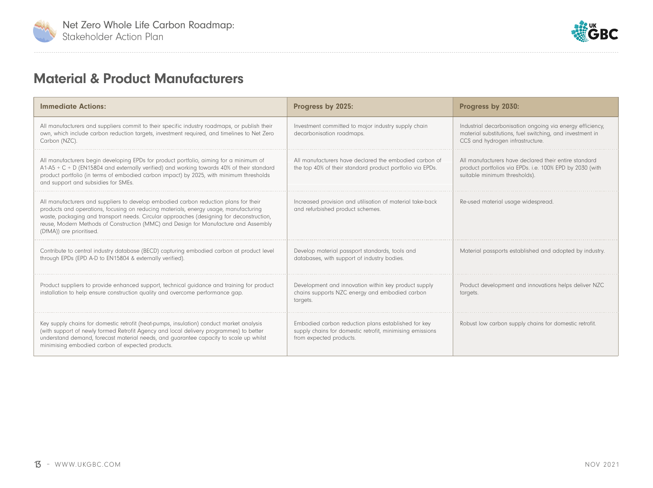<span id="page-14-0"></span>



#### Material & Product Manufacturers

| <b>Immediate Actions:</b>                                                                                                                                                                                                                                                                                                                                                                   | Progress by 2025:                                                                                                                           | Progress by 2030:                                                                                                                                          |
|---------------------------------------------------------------------------------------------------------------------------------------------------------------------------------------------------------------------------------------------------------------------------------------------------------------------------------------------------------------------------------------------|---------------------------------------------------------------------------------------------------------------------------------------------|------------------------------------------------------------------------------------------------------------------------------------------------------------|
| All manufacturers and suppliers commit to their specific industry roadmaps, or publish their<br>own, which include carbon reduction targets, investment required, and timelines to Net Zero<br>Carbon (NZC).                                                                                                                                                                                | Investment committed to major industry supply chain<br>decarbonisation roadmaps.                                                            | Industrial decarbonisation ongoing via energy efficiency,<br>material substitutions, fuel switching, and investment in<br>CCS and hydrogen infrastructure. |
| All manufacturers begin developing EPDs for product portfolio, aiming for a minimum of<br>$A1-A5+C+D$ (EN15804 and externally verified) and working towards 40% of their standard<br>product portfolio (in terms of embodied carbon impact) by 2025, with minimum thresholds<br>and support and subsidies for SMEs.                                                                         | All manufacturers have declared the embodied carbon of<br>the top 40% of their standard product portfolio via EPDs.                         | All manufacturers have declared their entire standard<br>product portfolios via EPDs. i.e. 100% EPD by 2030 (with<br>suitable minimum thresholds).         |
| All manufacturers and suppliers to develop embodied carbon reduction plans for their<br>products and operations, focusing on reducing materials, energy usage, manufacturing<br>waste, packaging and transport needs. Circular approaches (designing for deconstruction,<br>reuse, Modern Methods of Construction (MMC) and Design for Manufacture and Assembly<br>(DfMA)) are prioritised. | Increased provision and utilisation of material take-back<br>and refurbished product schemes.                                               | Re-used material usage widespread.                                                                                                                         |
| Contribute to central industry database (BECD) capturing embodied carbon at product level<br>through EPDs (EPD A-D to EN15804 & externally verified).                                                                                                                                                                                                                                       | Develop material passport standards, tools and<br>databases, with support of industry bodies.                                               | Material passports established and adopted by industry.                                                                                                    |
| Product suppliers to provide enhanced support, technical quidance and training for product<br>installation to help ensure construction quality and overcome performance qap.                                                                                                                                                                                                                | Development and innovation within key product supply<br>chains supports NZC energy and embodied carbon<br>targets.                          | Product development and innovations helps deliver NZC<br>targets.                                                                                          |
| Key supply chains for domestic retrofit (heat-pumps, insulation) conduct market analysis<br>(with support of newly formed Retrofit Agency and local delivery programmes) to better<br>understand demand, forecast material needs, and quarantee capacity to scale up whilst<br>minimising embodied carbon of expected products.                                                             | Embodied carbon reduction plans established for key<br>supply chains for domestic retrofit, minimising emissions<br>from expected products. | Robust low carbon supply chains for domestic retrofit.                                                                                                     |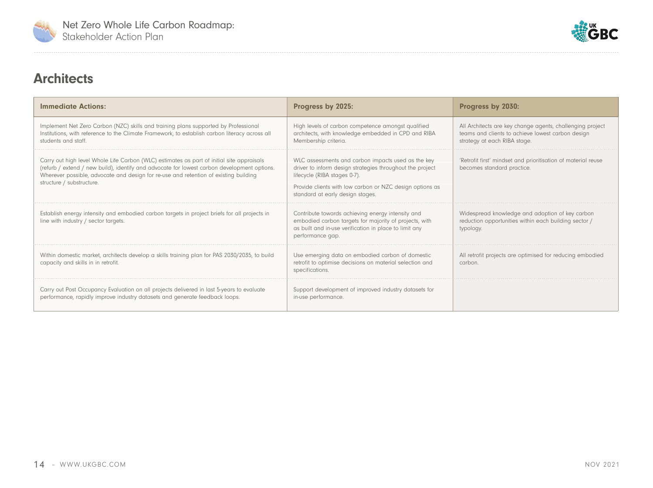<span id="page-15-0"></span>



#### **Architects**

| <b>Immediate Actions:</b>                                                                                                                                                                                                                                                                                     | Progress by 2025:                                                                                                                                                                                                                               | Progress by 2030:                                                                                                                              |
|---------------------------------------------------------------------------------------------------------------------------------------------------------------------------------------------------------------------------------------------------------------------------------------------------------------|-------------------------------------------------------------------------------------------------------------------------------------------------------------------------------------------------------------------------------------------------|------------------------------------------------------------------------------------------------------------------------------------------------|
| Implement Net Zero Carbon (NZC) skills and training plans supported by Professional<br>Institutions, with reference to the Climate Framework, to establish carbon literacy across all<br>students and staff.                                                                                                  | High levels of carbon competence amongst qualified<br>architects, with knowledge embedded in CPD and RIBA<br>Membership criteria.                                                                                                               | All Architects are key change agents, challenging project<br>teams and clients to achieve lowest carbon design<br>strategy at each RIBA stage. |
| Carry out high level Whole Life Carbon (WLC) estimates as part of initial site appraisals<br>(refurb / extend / new build), identify and advocate for lowest carbon development options.<br>Wherever possible, advocate and design for re-use and retention of existing building<br>structure / substructure. | WLC assessments and carbon impacts used as the key<br>driver to inform design strategies throughout the project<br>lifecycle (RIBA stages 0-7).<br>Provide clients with low carbon or NZC design options as<br>standard at early design stages. | 'Retrofit first' mindset and prioritisation of material reuse<br>becomes standard practice.                                                    |
| Establish energy intensity and embodied carbon targets in project briefs for all projects in<br>line with industry / sector targets.                                                                                                                                                                          | Contribute towards achieving energy intensity and<br>embodied carbon targets for majority of projects, with<br>as built and in-use verification in place to limit any<br>performance gap.                                                       | Widespread knowledge and adoption of key carbon<br>reduction opportunities within each building sector /<br>typology.                          |
| Within domestic market, architects develop a skills training plan for PAS 2030/2035, to build<br>capacity and skills in in retrofit.                                                                                                                                                                          | Use emerging data on embodied carbon of domestic<br>retrofit to optimise decisions on material selection and<br>specifications.                                                                                                                 | All retrofit projects are optimised for reducing embodied<br>carbon.                                                                           |
| Carry out Post Occupancy Evaluation on all projects delivered in last 5-years to evaluate<br>performance, rapidly improve industry datasets and generate feedback loops.                                                                                                                                      | Support development of improved industry datasets for<br>in-use performance.                                                                                                                                                                    |                                                                                                                                                |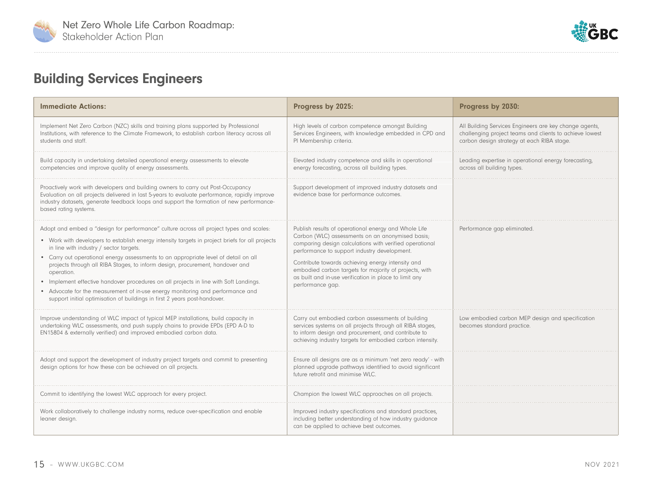<span id="page-16-0"></span>



## Building Services Engineers

| <b>Immediate Actions:</b>                                                                                                                                                                                                                                                                                                                                                                                                                                                                                                                                                                                                                                                           | Progress by 2025:                                                                                                                                                                                                                                                                                                                                                                                                | Progress by 2030:                                                                                                                                               |
|-------------------------------------------------------------------------------------------------------------------------------------------------------------------------------------------------------------------------------------------------------------------------------------------------------------------------------------------------------------------------------------------------------------------------------------------------------------------------------------------------------------------------------------------------------------------------------------------------------------------------------------------------------------------------------------|------------------------------------------------------------------------------------------------------------------------------------------------------------------------------------------------------------------------------------------------------------------------------------------------------------------------------------------------------------------------------------------------------------------|-----------------------------------------------------------------------------------------------------------------------------------------------------------------|
| Implement Net Zero Carbon (NZC) skills and training plans supported by Professional<br>Institutions, with reference to the Climate Framework, to establish carbon literacy across all<br>students and staff.                                                                                                                                                                                                                                                                                                                                                                                                                                                                        | High levels of carbon competence amongst Building<br>Services Engineers, with knowledge embedded in CPD and<br>PI Membership criteria.                                                                                                                                                                                                                                                                           | All Building Services Engineers are key change agents,<br>challenging project teams and clients to achieve lowest<br>carbon design strategy at each RIBA stage. |
| Build capacity in undertaking detailed operational energy assessments to elevate<br>competencies and improve quality of energy assessments.                                                                                                                                                                                                                                                                                                                                                                                                                                                                                                                                         | Elevated industry competence and skills in operational<br>energy forecasting, across all building types.                                                                                                                                                                                                                                                                                                         | Leading expertise in operational energy forecasting,<br>across all building types.                                                                              |
| Proactively work with developers and building owners to carry out Post-Occupancy<br>Evaluation on all projects delivered in last 5-years to evaluate performance, rapidly improve<br>industry datasets, generate feedback loops and support the formation of new performance-<br>based rating systems.                                                                                                                                                                                                                                                                                                                                                                              | Support development of improved industry datasets and<br>evidence base for performance outcomes.                                                                                                                                                                                                                                                                                                                 |                                                                                                                                                                 |
| Adopt and embed a "design for performance" culture across all project types and scales:<br>• Work with developers to establish energy intensity targets in project briefs for all projects<br>in line with industry / sector targets.<br>• Carry out operational energy assessments to an appropriate level of detail on all<br>projects through all RIBA Stages, to inform design, procurement, handover and<br>operation.<br>• Implement effective handover procedures on all projects in line with Soft Landings.<br>• Advocate for the measurement of in-use energy monitoring and performance and<br>support initial optimisation of buildings in first 2 years post-handover. | Publish results of operational energy and Whole Life<br>Carbon (WLC) assessments on an anonymised basis;<br>comparing design calculations with verified operational<br>performance to support industry development.<br>Contribute towards achieving energy intensity and<br>embodied carbon targets for majority of projects, with<br>as built and in-use verification in place to limit any<br>performance gap. | Performance gap eliminated                                                                                                                                      |
| Improve understanding of WLC impact of typical MEP installations, build capacity in<br>undertaking WLC assessments, and push supply chains to provide EPDs (EPD A-D to<br>EN15804 & externally verified) and improved embodied carbon data.                                                                                                                                                                                                                                                                                                                                                                                                                                         | Carry out embodied carbon assessments of building<br>services systems on all projects through all RIBA stages,<br>to inform design and procurement, and contribute to<br>achieving industry targets for embodied carbon intensity.                                                                                                                                                                               | Low embodied carbon MEP design and specification<br>becomes standard practice.                                                                                  |
| Adopt and support the development of industry project targets and commit to presenting<br>design options for how these can be achieved on all projects.                                                                                                                                                                                                                                                                                                                                                                                                                                                                                                                             | Ensure all designs are as a minimum 'net zero ready' - with<br>planned upgrade pathways identified to avoid significant<br>future retrofit and minimise WLC.                                                                                                                                                                                                                                                     |                                                                                                                                                                 |
| Commit to identifying the lowest WLC approach for every project.                                                                                                                                                                                                                                                                                                                                                                                                                                                                                                                                                                                                                    | Champion the lowest WLC approaches on all projects.                                                                                                                                                                                                                                                                                                                                                              |                                                                                                                                                                 |
| Work collaboratively to challenge industry norms, reduce over-specification and enable<br>leaner design.                                                                                                                                                                                                                                                                                                                                                                                                                                                                                                                                                                            | Improved industry specifications and standard practices,<br>including better understanding of how industry guidance<br>can be applied to achieve best outcomes.                                                                                                                                                                                                                                                  |                                                                                                                                                                 |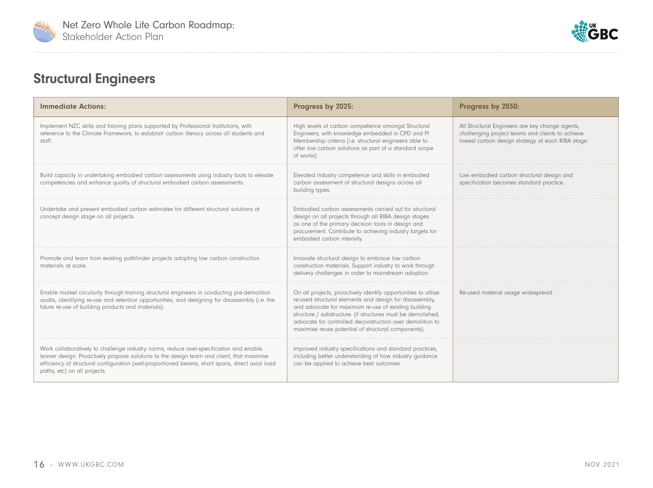<span id="page-17-0"></span>



## Structural Engineers

| <b>Immediate Actions:</b>                                                                                                                                                                                                                                                                                              | Progress by 2025:                                                                                                                                                                                                                                                                                                                                                     | Progress by 2030:                                                                                                                                        |
|------------------------------------------------------------------------------------------------------------------------------------------------------------------------------------------------------------------------------------------------------------------------------------------------------------------------|-----------------------------------------------------------------------------------------------------------------------------------------------------------------------------------------------------------------------------------------------------------------------------------------------------------------------------------------------------------------------|----------------------------------------------------------------------------------------------------------------------------------------------------------|
| Implement NZC skills and training plans supported by Professional Institutions, with<br>reference to the Climate Framework, to establish carbon literacy across all students and<br>staff.                                                                                                                             | High levels of carbon competence amongst Structural<br>Engineers, with knowledge embedded in CPD and PI<br>Membership criteria (i.e. structural engineers able to<br>offer low carbon solutions as part of a standard scope<br>of works).                                                                                                                             | All Structural Engineers are key change agents,<br>challenging project teams and clients to achieve<br>lowest carbon design strategy at each RIBA stage. |
| Build capacity in undertaking embodied carbon assessments using industry tools to elevate<br>competencies and enhance quality of structural embodied carbon assessments.                                                                                                                                               | Elevated industry competence and skills in embodied<br>carbon assessment of structural designs across all<br>building types.                                                                                                                                                                                                                                          | Low embodied carbon structural design and<br>specification becomes standard practice.                                                                    |
| Undertake and present embodied carbon estimates for different structural solutions at<br>concept design stage on all projects.                                                                                                                                                                                         | Embodied carbon assessments carried out for structural<br>design on all projects through all RIBA design stages<br>as one of the primary decision tools in design and<br>procurement. Contribute to achieving industry targets for<br>embodied carbon intensity.                                                                                                      |                                                                                                                                                          |
| Promote and learn from existing pathfinder projects adopting low carbon construction<br>materials at scale.                                                                                                                                                                                                            | Innovate structural design to embrace low carbon<br>construction materials. Support industry to work through<br>delivery challenges in order to mainstream adoption.                                                                                                                                                                                                  |                                                                                                                                                          |
| Enable market circularity through training structural engineers in conducting pre-demolition<br>audits, identifying re-use and retention opportunities, and designing for disassembly (i.e. the<br>future re-use of building products and materials).                                                                  | On all projects, proactively identify opportunities to utilise<br>re-used structural elements and design for disassembly,<br>and advocate for maximum re-use of existing building<br>structure / substructure. (if structures must be demolished,<br>advocate for controlled deconstruction over demolition to<br>maximise reuse potential of structural components). | Re-used material usage widespread.                                                                                                                       |
| Work collaboratively to challenge industry norms, reduce over-specification and enable<br>leaner design. Proactively propose solutions to the design team and client, that maximise<br>efficiency of structural configuration (well-proportioned beams, short spans, direct axial load<br>paths, etc) on all projects. | Improved industry specifications and standard practices,<br>including better understanding of how industry guidance<br>can be applied to achieve best outcomes.                                                                                                                                                                                                       |                                                                                                                                                          |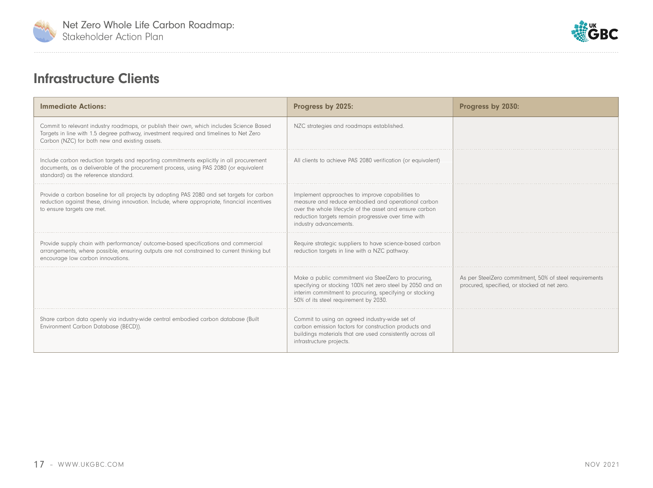<span id="page-18-0"></span>



#### Infrastructure Clients

| <b>Immediate Actions:</b>                                                                                                                                                                                                            | Progress by 2025:                                                                                                                                                                                                                                 | Progress by 2030:                                                                                      |
|--------------------------------------------------------------------------------------------------------------------------------------------------------------------------------------------------------------------------------------|---------------------------------------------------------------------------------------------------------------------------------------------------------------------------------------------------------------------------------------------------|--------------------------------------------------------------------------------------------------------|
| Commit to relevant industry roadmaps, or publish their own, which includes Science Based<br>Targets in line with 1.5 degree pathway, investment required and timelines to Net Zero<br>Carbon (NZC) for both new and existing assets. | NZC strategies and roadmaps established.                                                                                                                                                                                                          |                                                                                                        |
| Include carbon reduction targets and reporting commitments explicitly in all procurement<br>documents, as a deliverable of the procurement process, using PAS 2080 (or equivalent<br>standard) as the reference standard.            | All clients to achieve PAS 2080 verification (or equivalent)                                                                                                                                                                                      |                                                                                                        |
| Provide a carbon baseline for all projects by adopting PAS 2080 and set targets for carbon<br>reduction against these, driving innovation. Include, where appropriate, financial incentives<br>to ensure targets are met.            | Implement approaches to improve capabilities to<br>measure and reduce embodied and operational carbon<br>over the whole lifecycle of the asset and ensure carbon<br>reduction targets remain progressive over time with<br>industry advancements. |                                                                                                        |
| Provide supply chain with performance/ outcome-based specifications and commercial<br>arrangements, where possible, ensuring outputs are not constrained to current thinking but<br>encourage low carbon innovations.                | Require strategic suppliers to have science-based carbon<br>reduction targets in line with a NZC pathway.                                                                                                                                         |                                                                                                        |
|                                                                                                                                                                                                                                      | Make a public commitment via SteelZero to procuring,<br>specifying or stocking 100% net zero steel by 2050 and an<br>interim commitment to procuring, specifying or stocking<br>50% of its steel requirement by 2030.                             | As per SteelZero commitment, 50% of steel requirements<br>procured, specified, or stocked at net zero. |
| Share carbon data openly via industry-wide central embodied carbon database (Built<br>Environment Carbon Database (BECD)).                                                                                                           | Commit to using an agreed industry-wide set of<br>carbon emission factors for construction products and<br>buildings materials that are used consistently across all<br>infrastructure projects.                                                  |                                                                                                        |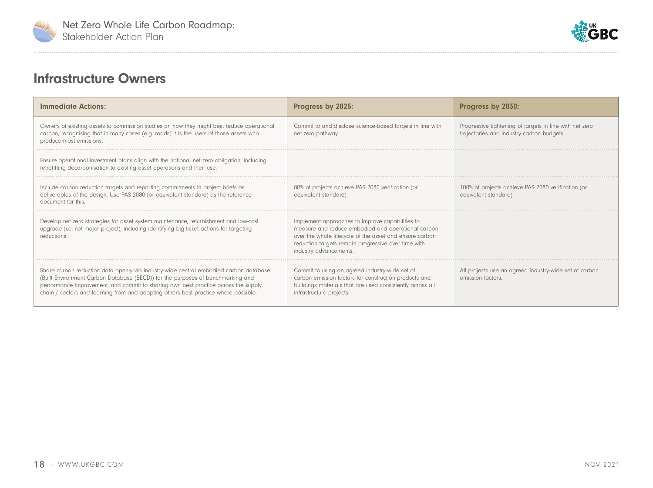<span id="page-19-0"></span>



#### Infrastructure Owners

| <b>Immediate Actions:</b>                                                                                                                                                                                                                                                                                                                             | Progress by 2025:                                                                                                                                                                                                                                 | Progress by 2030:                                                                                    |
|-------------------------------------------------------------------------------------------------------------------------------------------------------------------------------------------------------------------------------------------------------------------------------------------------------------------------------------------------------|---------------------------------------------------------------------------------------------------------------------------------------------------------------------------------------------------------------------------------------------------|------------------------------------------------------------------------------------------------------|
| Owners of existing assets to commission studies on how they might best reduce operational<br>carbon, recognising that in many cases (e.g. roads) it is the users of those assets who<br>produce most emissions.                                                                                                                                       | Commit to and disclose science-based targets in line with<br>net zero pathway.                                                                                                                                                                    | Progressive tightening of targets in line with net zero<br>trajectories and industry carbon budgets. |
| Ensure operational investment plans align with the national net zero obligation, including<br>retrofitting decarbonisation to existing asset operations and their use.                                                                                                                                                                                |                                                                                                                                                                                                                                                   |                                                                                                      |
| Include carbon reduction targets and reporting commitments in project briefs as<br>deliverables of the design. Use PAS 2080 (or equivalent standard) as the reference<br>document for this.                                                                                                                                                           | 80% of projects achieve PAS 2080 verification (or<br>equivalent standard).                                                                                                                                                                        | 100% of projects achieve PAS 2080 verification (or<br>equivalent standard).                          |
| Develop net zero strategies for asset system maintenance, refurbishment and low-cost<br>upgrade (i.e. not major project), including identifying big-ticket actions for targeting<br>reductions.                                                                                                                                                       | Implement approaches to improve capabilities to<br>measure and reduce embodied and operational carbon<br>over the whole lifecycle of the asset and ensure carbon<br>reduction targets remain progressive over time with<br>industry advancements. |                                                                                                      |
| Share carbon reduction data openly via industry-wide central embodied carbon database<br>(Built Environment Carbon Database (BECD)) for the purposes of benchmarking and<br>performance improvement, and commit to sharing own best practice across the supply<br>chain / sectors and learning from and adopting others best practice where possible. | Commit to using an agreed industry-wide set of<br>carbon emission factors for construction products and<br>buildings materials that are used consistently across all<br>infrastructure projects.                                                  | All projects use an agreed industry-wide set of carbon<br>emission factors.                          |